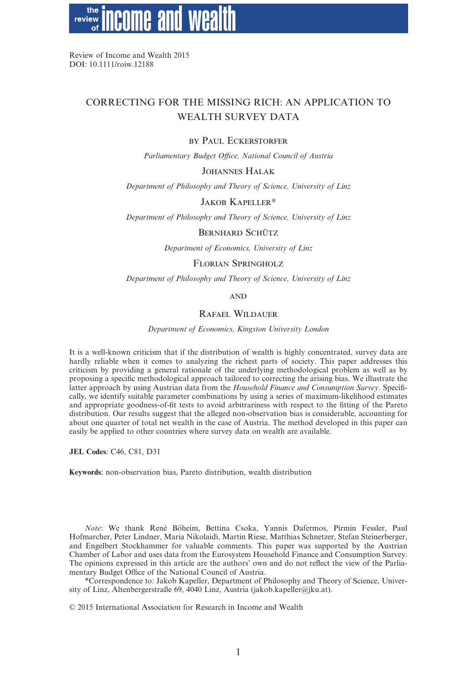the review

Review of Income and Wealth 2015 DOI: 10.1111/roiw.12188

# CORRECTING FOR THE MISSING RICH: AN APPLICATION TO WEALTH SURVEY DATA

#### BY PAUL ECKERSTORFER

*Parliamentary Budget Office, National Council of Austria*

# JOHANNES HALAK

*Department of Philosophy and Theory of Science, University of Linz*

#### JAKOB KAPELLER\*

*Department of Philosophy and Theory of Science, University of Linz*

#### BERNHARD SCHÜTZ

*Department of Economics, University of Linz*

### FLORIAN SPRINGHOLZ

*Department of Philosophy and Theory of Science, University of Linz*

#### AND

# RAFAEL WILDAUER

*Department of Economics, Kingston University London*

It is a well-known criticism that if the distribution of wealth is highly concentrated, survey data are hardly reliable when it comes to analyzing the richest parts of society. This paper addresses this criticism by providing a general rationale of the underlying methodological problem as well as by proposing a specific methodological approach tailored to correcting the arising bias. We illustrate the latter approach by using Austrian data from the *Household Finance and Consumption Survey*. Specifically, we identify suitable parameter combinations by using a series of maximum-likelihood estimates and appropriate goodness-of-fit tests to avoid arbitrariness with respect to the fitting of the Pareto distribution. Our results suggest that the alleged non-observation bias is considerable, accounting for about one quarter of total net wealth in the case of Austria. The method developed in this paper can easily be applied to other countries where survey data on wealth are available.

**JEL Codes**: C46, C81, D31

**Keywords**: non-observation bias, Pareto distribution, wealth distribution

*Note*: We thank René Böheim, Bettina Csoka, Yannis Dafermos, Pirmin Fessler, Paul Hofmarcher, Peter Lindner, Maria Nikolaidi, Martin Riese, Matthias Schnetzer, Stefan Steinerberger, and Engelbert Stockhammer for valuable comments. This paper was supported by the Austrian Chamber of Labor and uses data from the Eurosystem Household Finance and Consumption Survey. The opinions expressed in this article are the authors' own and do not reflect the view of the Parliamentary Budget Office of the National Council of Austria.

\*Correspondence to: Jakob Kapeller, Department of Philosophy and Theory of Science, University of Linz, Altenbergerstraße 69,  $\widehat{4040}$  Linz, Austria (jakob.kapeller@jku.at).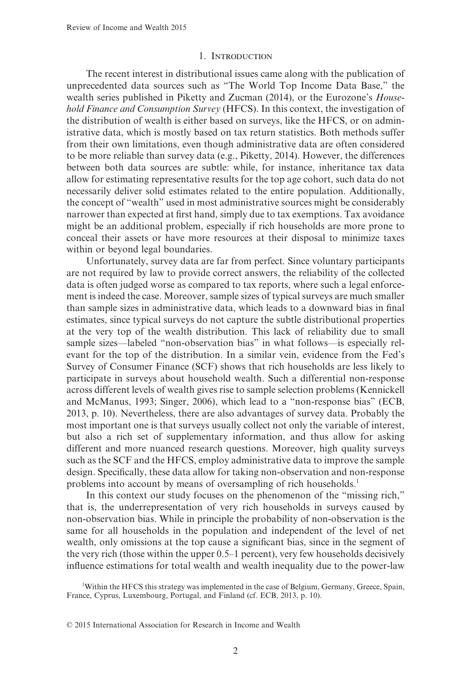#### 1. INTRODUCTION

The recent interest in distributional issues came along with the publication of unprecedented data sources such as "The World Top Income Data Base," the wealth series published in Piketty and Zucman (2014), or the Eurozone's *Household Finance and Consumption Survey* (HFCS). In this context, the investigation of the distribution of wealth is either based on surveys, like the HFCS, or on administrative data, which is mostly based on tax return statistics. Both methods suffer from their own limitations, even though administrative data are often considered to be more reliable than survey data (e.g., Piketty, 2014). However, the differences between both data sources are subtle: while, for instance, inheritance tax data allow for estimating representative results for the top age cohort, such data do not necessarily deliver solid estimates related to the entire population. Additionally, the concept of "wealth" used in most administrative sources might be considerably narrower than expected at first hand, simply due to tax exemptions. Tax avoidance might be an additional problem, especially if rich households are more prone to conceal their assets or have more resources at their disposal to minimize taxes within or beyond legal boundaries.

Unfortunately, survey data are far from perfect. Since voluntary participants are not required by law to provide correct answers, the reliability of the collected data is often judged worse as compared to tax reports, where such a legal enforcement is indeed the case. Moreover, sample sizes of typical surveys are much smaller than sample sizes in administrative data, which leads to a downward bias in final estimates, since typical surveys do not capture the subtle distributional properties at the very top of the wealth distribution. This lack of reliability due to small sample sizes—labeled "non-observation bias" in what follows—is especially relevant for the top of the distribution. In a similar vein, evidence from the Fed's Survey of Consumer Finance (SCF) shows that rich households are less likely to participate in surveys about household wealth. Such a differential non-response across different levels of wealth gives rise to sample selection problems (Kennickell and McManus, 1993; Singer, 2006), which lead to a "non-response bias" (ECB, 2013, p. 10). Nevertheless, there are also advantages of survey data. Probably the most important one is that surveys usually collect not only the variable of interest, but also a rich set of supplementary information, and thus allow for asking different and more nuanced research questions. Moreover, high quality surveys such as the SCF and the HFCS, employ administrative data to improve the sample design. Specifically, these data allow for taking non-observation and non-response problems into account by means of oversampling of rich households.<sup>1</sup>

In this context our study focuses on the phenomenon of the "missing rich," that is, the underrepresentation of very rich households in surveys caused by non-observation bias. While in principle the probability of non-observation is the same for all households in the population and independent of the level of net wealth, only omissions at the top cause a significant bias, since in the segment of the very rich (those within the upper 0.5–1 percent), very few households decisively influence estimations for total wealth and wealth inequality due to the power-law

1 Within the HFCS this strategy was implemented in the case of Belgium, Germany, Greece, Spain, France, Cyprus, Luxembourg, Portugal, and Finland (cf. ECB, 2013, p. 10).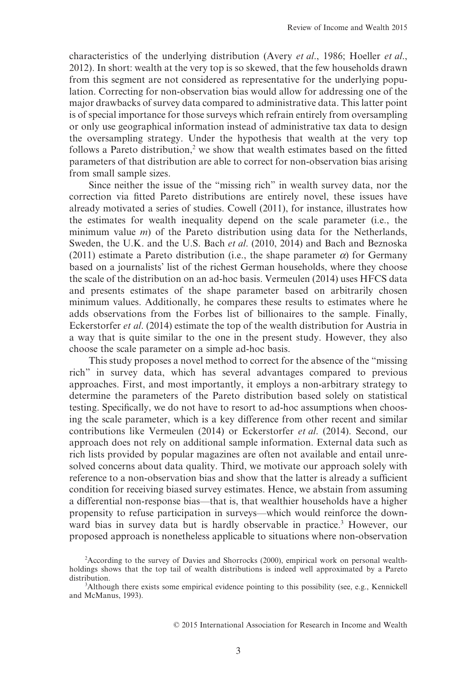characteristics of the underlying distribution (Avery *et al*., 1986; Hoeller *et al*., 2012). In short: wealth at the very top is so skewed, that the few households drawn from this segment are not considered as representative for the underlying population. Correcting for non-observation bias would allow for addressing one of the major drawbacks of survey data compared to administrative data. This latter point is of special importance for those surveys which refrain entirely from oversampling or only use geographical information instead of administrative tax data to design the oversampling strategy. Under the hypothesis that wealth at the very top follows a Pareto distribution, $2$  we show that wealth estimates based on the fitted parameters of that distribution are able to correct for non-observation bias arising from small sample sizes.

Since neither the issue of the "missing rich" in wealth survey data, nor the correction via fitted Pareto distributions are entirely novel, these issues have already motivated a series of studies. Cowell (2011), for instance, illustrates how the estimates for wealth inequality depend on the scale parameter (i.e., the minimum value *m*) of the Pareto distribution using data for the Netherlands, Sweden, the U.K. and the U.S. Bach *et al*. (2010, 2014) and Bach and Beznoska (2011) estimate a Pareto distribution (i.e., the shape parameter  $\alpha$ ) for Germany based on a journalists' list of the richest German households, where they choose the scale of the distribution on an ad-hoc basis. Vermeulen (2014) uses HFCS data and presents estimates of the shape parameter based on arbitrarily chosen minimum values. Additionally, he compares these results to estimates where he adds observations from the Forbes list of billionaires to the sample. Finally, Eckerstorfer *et al*. (2014) estimate the top of the wealth distribution for Austria in a way that is quite similar to the one in the present study. However, they also choose the scale parameter on a simple ad-hoc basis.

This study proposes a novel method to correct for the absence of the "missing rich" in survey data, which has several advantages compared to previous approaches. First, and most importantly, it employs a non-arbitrary strategy to determine the parameters of the Pareto distribution based solely on statistical testing. Specifically, we do not have to resort to ad-hoc assumptions when choosing the scale parameter, which is a key difference from other recent and similar contributions like Vermeulen (2014) or Eckerstorfer *et al*. (2014). Second, our approach does not rely on additional sample information. External data such as rich lists provided by popular magazines are often not available and entail unresolved concerns about data quality. Third, we motivate our approach solely with reference to a non-observation bias and show that the latter is already a sufficient condition for receiving biased survey estimates. Hence, we abstain from assuming a differential non-response bias—that is, that wealthier households have a higher propensity to refuse participation in surveys—which would reinforce the downward bias in survey data but is hardly observable in practice.<sup>3</sup> However, our proposed approach is nonetheless applicable to situations where non-observation

<sup>2</sup> According to the survey of Davies and Shorrocks (2000), empirical work on personal wealthholdings shows that the top tail of wealth distributions is indeed well approximated by a Pareto distribution.

<sup>3</sup> Although there exists some empirical evidence pointing to this possibility (see, e.g., Kennickell and McManus, 1993).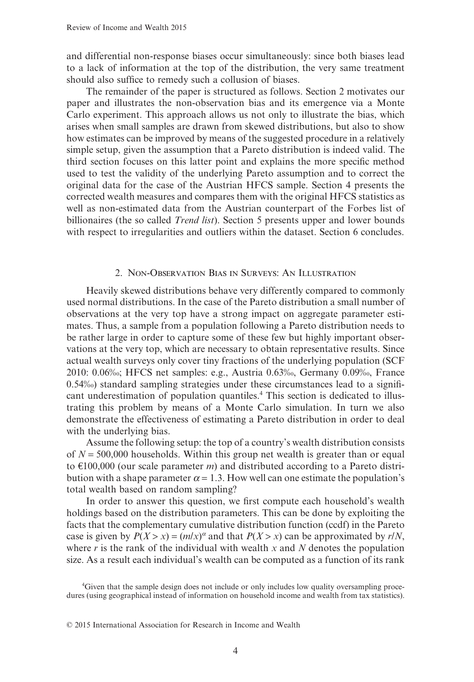and differential non-response biases occur simultaneously: since both biases lead to a lack of information at the top of the distribution, the very same treatment should also suffice to remedy such a collusion of biases.

The remainder of the paper is structured as follows. Section 2 motivates our paper and illustrates the non-observation bias and its emergence via a Monte Carlo experiment. This approach allows us not only to illustrate the bias, which arises when small samples are drawn from skewed distributions, but also to show how estimates can be improved by means of the suggested procedure in a relatively simple setup, given the assumption that a Pareto distribution is indeed valid. The third section focuses on this latter point and explains the more specific method used to test the validity of the underlying Pareto assumption and to correct the original data for the case of the Austrian HFCS sample. Section 4 presents the corrected wealth measures and compares them with the original HFCS statistics as well as non-estimated data from the Austrian counterpart of the Forbes list of billionaires (the so called *Trend list*). Section 5 presents upper and lower bounds with respect to irregularities and outliers within the dataset. Section 6 concludes.

## 2. NON-OBSERVATION BIAS IN SURVEYS: AN ILLUSTRATION

Heavily skewed distributions behave very differently compared to commonly used normal distributions. In the case of the Pareto distribution a small number of observations at the very top have a strong impact on aggregate parameter estimates. Thus, a sample from a population following a Pareto distribution needs to be rather large in order to capture some of these few but highly important observations at the very top, which are necessary to obtain representative results. Since actual wealth surveys only cover tiny fractions of the underlying population (SCF 2010: 0.06‰; HFCS net samples: e.g., Austria 0.63‰, Germany 0.09‰, France 0.54‰) standard sampling strategies under these circumstances lead to a significant underestimation of population quantiles.<sup>4</sup> This section is dedicated to illustrating this problem by means of a Monte Carlo simulation. In turn we also demonstrate the effectiveness of estimating a Pareto distribution in order to deal with the underlying bias.

Assume the following setup: the top of a country's wealth distribution consists of  $N = 500,000$  households. Within this group net wealth is greater than or equal to €100,000 (our scale parameter *m*) and distributed according to a Pareto distribution with a shape parameter  $\alpha = 1.3$ . How well can one estimate the population's total wealth based on random sampling?

In order to answer this question, we first compute each household's wealth holdings based on the distribution parameters. This can be done by exploiting the facts that the complementary cumulative distribution function (ccdf) in the Pareto case is given by  $P(X > x) = (m/x)^{\alpha}$  and that  $P(X > x)$  can be approximated by  $r/N$ , where *r* is the rank of the individual with wealth *x* and *N* denotes the population size. As a result each individual's wealth can be computed as a function of its rank

<sup>4</sup> Given that the sample design does not include or only includes low quality oversampling procedures (using geographical instead of information on household income and wealth from tax statistics).

<sup>© 2015</sup> International Association for Research in Income and Wealth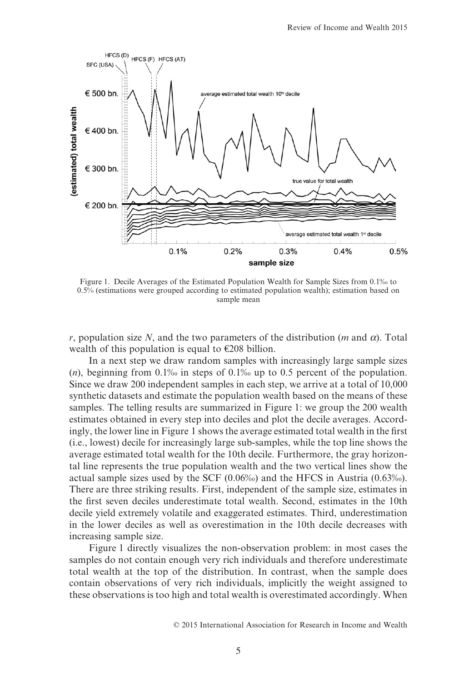

Figure 1. Decile Averages of the Estimated Population Wealth for Sample Sizes from 0.1‰ to 0.5% (estimations were grouped according to estimated population wealth); estimation based on sample mean

*r*, population size *N*, and the two parameters of the distribution (*m* and *α*). Total wealth of this population is equal to  $\epsilon$ 208 billion.

In a next step we draw random samples with increasingly large sample sizes (*n*), beginning from 0.1‰ in steps of 0.1‰ up to 0.5 percent of the population. Since we draw 200 independent samples in each step, we arrive at a total of 10,000 synthetic datasets and estimate the population wealth based on the means of these samples. The telling results are summarized in Figure 1: we group the 200 wealth estimates obtained in every step into deciles and plot the decile averages. Accordingly, the lower line in Figure 1 shows the average estimated total wealth in the first (i.e., lowest) decile for increasingly large sub-samples, while the top line shows the average estimated total wealth for the 10th decile. Furthermore, the gray horizontal line represents the true population wealth and the two vertical lines show the actual sample sizes used by the SCF (0.06‰) and the HFCS in Austria (0.63‰). There are three striking results. First, independent of the sample size, estimates in the first seven deciles underestimate total wealth. Second, estimates in the 10th decile yield extremely volatile and exaggerated estimates. Third, underestimation in the lower deciles as well as overestimation in the 10th decile decreases with increasing sample size.

Figure 1 directly visualizes the non-observation problem: in most cases the samples do not contain enough very rich individuals and therefore underestimate total wealth at the top of the distribution. In contrast, when the sample does contain observations of very rich individuals, implicitly the weight assigned to these observations is too high and total wealth is overestimated accordingly. When

<sup>© 2015</sup> International Association for Research in Income and Wealth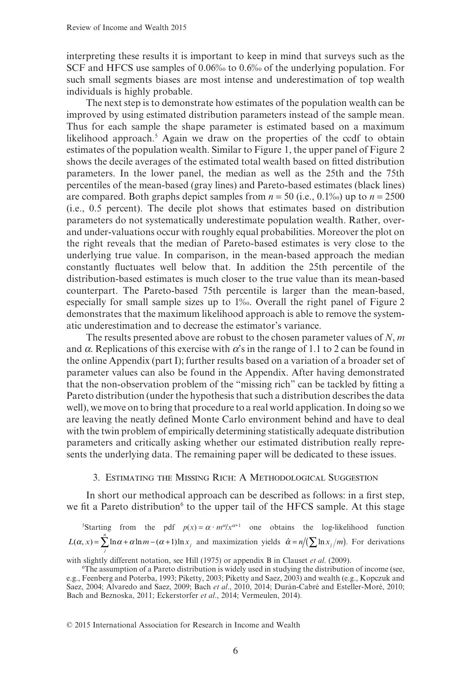interpreting these results it is important to keep in mind that surveys such as the SCF and HFCS use samples of 0.06‰ to 0.6‰ of the underlying population. For such small segments biases are most intense and underestimation of top wealth individuals is highly probable.

The next step is to demonstrate how estimates of the population wealth can be improved by using estimated distribution parameters instead of the sample mean. Thus for each sample the shape parameter is estimated based on a maximum likelihood approach.<sup>5</sup> Again we draw on the properties of the ccdf to obtain estimates of the population wealth. Similar to Figure 1, the upper panel of Figure 2 shows the decile averages of the estimated total wealth based on fitted distribution parameters. In the lower panel, the median as well as the 25th and the 75th percentiles of the mean-based (gray lines) and Pareto-based estimates (black lines) are compared. Both graphs depict samples from  $n = 50$  (i.e., 0.1‰) up to  $n = 2500$ (i.e., 0.5 percent). The decile plot shows that estimates based on distribution parameters do not systematically underestimate population wealth. Rather, overand under-valuations occur with roughly equal probabilities. Moreover the plot on the right reveals that the median of Pareto-based estimates is very close to the underlying true value. In comparison, in the mean-based approach the median constantly fluctuates well below that. In addition the 25th percentile of the distribution-based estimates is much closer to the true value than its mean-based counterpart. The Pareto-based 75th percentile is larger than the mean-based, especially for small sample sizes up to 1‰. Overall the right panel of Figure 2 demonstrates that the maximum likelihood approach is able to remove the systematic underestimation and to decrease the estimator's variance.

The results presented above are robust to the chosen parameter values of *N*, *m* and  $\alpha$ . Replications of this exercise with  $\alpha$ 's in the range of 1.1 to 2 can be found in the online Appendix (part I); further results based on a variation of a broader set of parameter values can also be found in the Appendix. After having demonstrated that the non-observation problem of the "missing rich" can be tackled by fitting a Pareto distribution (under the hypothesis that such a distribution describes the data well), we move on to bring that procedure to a real world application. In doing so we are leaving the neatly defined Monte Carlo environment behind and have to deal with the twin problem of empirically determining statistically adequate distribution parameters and critically asking whether our estimated distribution really represents the underlying data. The remaining paper will be dedicated to these issues.

#### 3. ESTIMATING THE MISSING RICH: A METHODOLOGICAL SUGGESTION

In short our methodical approach can be described as follows: in a first step, we fit a Pareto distribution<sup>6</sup> to the upper tail of the HFCS sample. At this stage

<sup>5</sup>Starting from the pdf  $p(x) = \alpha \cdot m^{\alpha}/x^{\alpha+1}$  one obtains the log-likelihood function  $L(\alpha, x) = \sum_{i=1}^{n} \ln \alpha + \alpha \ln m - (\alpha + 1) \ln x_i$  and maximization yields  $\hat{\alpha} = n / (\sum_{i=1}^{n} \ln x_i / m)$ . For derivations *j*

with slightly different notation, see Hill (1975) or appendix B in Clauset *et al*. (2009).

<sup>6</sup> The assumption of a Pareto distribution is widely used in studying the distribution of income (see, e.g., Feenberg and Poterba, 1993; Piketty, 2003; Piketty and Saez, 2003) and wealth (e.g., Kopczuk and Saez, 2004; Alvaredo and Saez, 2009; Bach *et al*., 2010, 2014; Durán-Cabré and Esteller-Moré, 2010; Bach and Beznoska, 2011; Eckerstorfer *et al*., 2014; Vermeulen, 2014).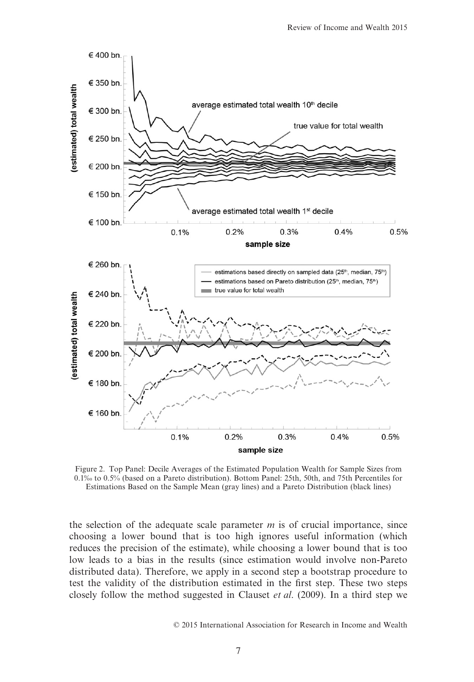

Figure 2. Top Panel: Decile Averages of the Estimated Population Wealth for Sample Sizes from 0.1‰ to 0.5% (based on a Pareto distribution). Bottom Panel: 25th, 50th, and 75th Percentiles for Estimations Based on the Sample Mean (gray lines) and a Pareto Distribution (black lines)

the selection of the adequate scale parameter *m* is of crucial importance, since choosing a lower bound that is too high ignores useful information (which reduces the precision of the estimate), while choosing a lower bound that is too low leads to a bias in the results (since estimation would involve non-Pareto distributed data). Therefore, we apply in a second step a bootstrap procedure to test the validity of the distribution estimated in the first step. These two steps closely follow the method suggested in Clauset *et al*. (2009). In a third step we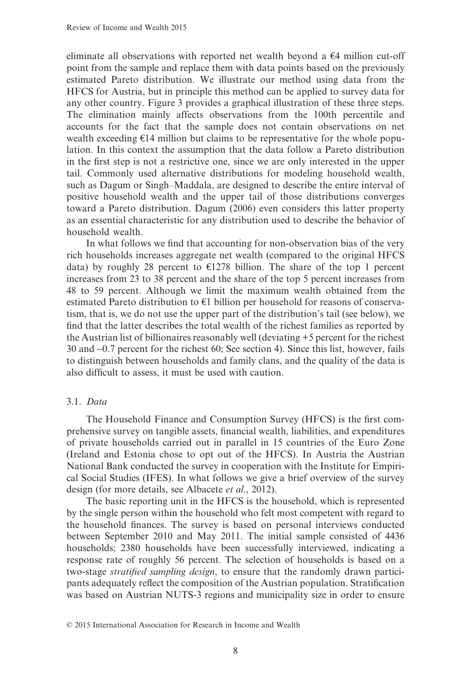eliminate all observations with reported net wealth beyond a  $\epsilon$ 4 million cut-off point from the sample and replace them with data points based on the previously estimated Pareto distribution. We illustrate our method using data from the HFCS for Austria, but in principle this method can be applied to survey data for any other country. Figure 3 provides a graphical illustration of these three steps. The elimination mainly affects observations from the 100th percentile and accounts for the fact that the sample does not contain observations on net wealth exceeding  $E14$  million but claims to be representative for the whole population. In this context the assumption that the data follow a Pareto distribution in the first step is not a restrictive one, since we are only interested in the upper tail. Commonly used alternative distributions for modeling household wealth, such as Dagum or Singh–Maddala, are designed to describe the entire interval of positive household wealth and the upper tail of those distributions converges toward a Pareto distribution. Dagum (2006) even considers this latter property as an essential characteristic for any distribution used to describe the behavior of household wealth.

In what follows we find that accounting for non-observation bias of the very rich households increases aggregate net wealth (compared to the original HFCS data) by roughly 28 percent to  $\epsilon$ 1278 billion. The share of the top 1 percent increases from 23 to 38 percent and the share of the top 5 percent increases from 48 to 59 percent. Although we limit the maximum wealth obtained from the estimated Pareto distribution to €1 billion per household for reasons of conservatism, that is, we do not use the upper part of the distribution's tail (see below), we find that the latter describes the total wealth of the richest families as reported by the Austrian list of billionaires reasonably well (deviating +5 percent for the richest 30 and −0.7 percent for the richest 60; See section 4). Since this list, however, fails to distinguish between households and family clans, and the quality of the data is also difficult to assess, it must be used with caution.

## 3.1. *Data*

The Household Finance and Consumption Survey (HFCS) is the first comprehensive survey on tangible assets, financial wealth, liabilities, and expenditures of private households carried out in parallel in 15 countries of the Euro Zone (Ireland and Estonia chose to opt out of the HFCS). In Austria the Austrian National Bank conducted the survey in cooperation with the Institute for Empirical Social Studies (IFES). In what follows we give a brief overview of the survey design (for more details, see Albacete *et al*., 2012).

The basic reporting unit in the HFCS is the household, which is represented by the single person within the household who felt most competent with regard to the household finances. The survey is based on personal interviews conducted between September 2010 and May 2011. The initial sample consisted of 4436 households; 2380 households have been successfully interviewed, indicating a response rate of roughly 56 percent. The selection of households is based on a two-stage *stratified sampling design*, to ensure that the randomly drawn participants adequately reflect the composition of the Austrian population. Stratification was based on Austrian NUTS-3 regions and municipality size in order to ensure

<sup>© 2015</sup> International Association for Research in Income and Wealth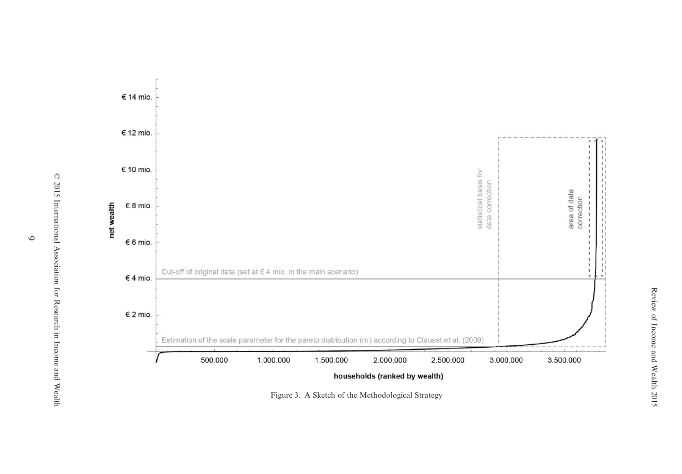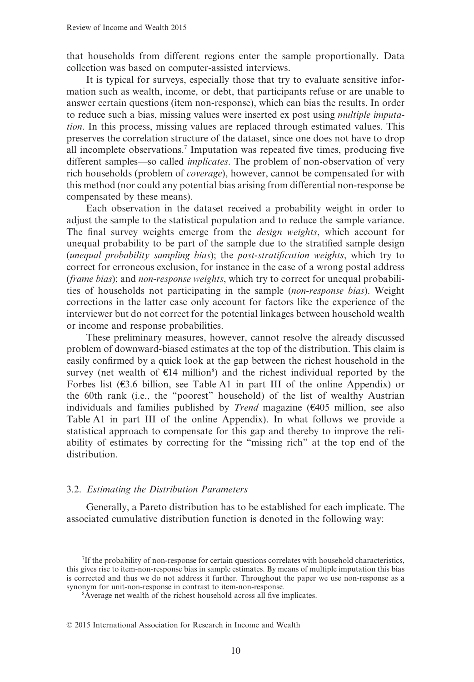that households from different regions enter the sample proportionally. Data collection was based on computer-assisted interviews.

It is typical for surveys, especially those that try to evaluate sensitive information such as wealth, income, or debt, that participants refuse or are unable to answer certain questions (item non-response), which can bias the results. In order to reduce such a bias, missing values were inserted ex post using *multiple imputation*. In this process, missing values are replaced through estimated values. This preserves the correlation structure of the dataset, since one does not have to drop all incomplete observations.7 Imputation was repeated five times, producing five different samples—so called *implicates*. The problem of non-observation of very rich households (problem of *coverage*), however, cannot be compensated for with this method (nor could any potential bias arising from differential non-response be compensated by these means).

Each observation in the dataset received a probability weight in order to adjust the sample to the statistical population and to reduce the sample variance. The final survey weights emerge from the *design weights*, which account for unequal probability to be part of the sample due to the stratified sample design (*unequal probability sampling bias*); the *post-stratification weights*, which try to correct for erroneous exclusion, for instance in the case of a wrong postal address (*frame bias*); and *non-response weights*, which try to correct for unequal probabilities of households not participating in the sample (*non-response bias*). Weight corrections in the latter case only account for factors like the experience of the interviewer but do not correct for the potential linkages between household wealth or income and response probabilities.

These preliminary measures, however, cannot resolve the already discussed problem of downward-biased estimates at the top of the distribution. This claim is easily confirmed by a quick look at the gap between the richest household in the survey (net wealth of  $E14$  million<sup>8</sup>) and the richest individual reported by the Forbes list  $(63.6 \text{ billion})$ , see Table A1 in part III of the online Appendix) or the 60th rank (i.e., the "poorest" household) of the list of wealthy Austrian individuals and families published by *Trend* magazine (€405 million, see also Table A1 in part III of the online Appendix). In what follows we provide a statistical approach to compensate for this gap and thereby to improve the reliability of estimates by correcting for the "missing rich" at the top end of the distribution.

#### 3.2. *Estimating the Distribution Parameters*

Generally, a Pareto distribution has to be established for each implicate. The associated cumulative distribution function is denoted in the following way:

<sup>7</sup> If the probability of non-response for certain questions correlates with household characteristics, this gives rise to item-non-response bias in sample estimates. By means of multiple imputation this bias is corrected and thus we do not address it further. Throughout the paper we use non-response as a synonym for unit-non-response in contrast to item-non-response.

<sup>8</sup> Average net wealth of the richest household across all five implicates.

<sup>© 2015</sup> International Association for Research in Income and Wealth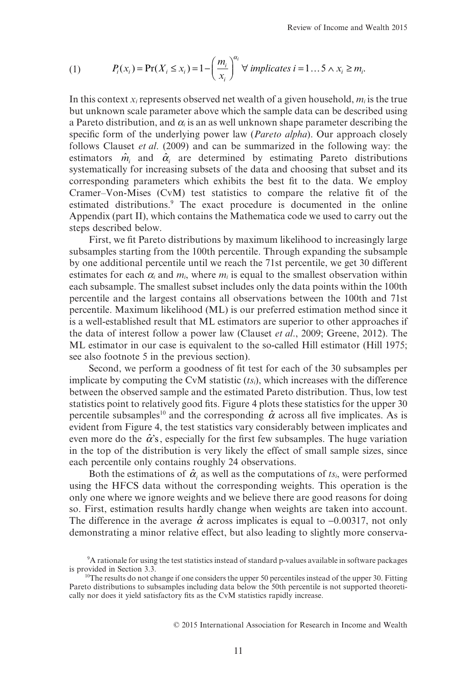(1) 
$$
P_i(x_i) = \Pr(X_i \le x_i) = 1 - \left(\frac{m_i}{x_i}\right)^{\alpha_i} \forall \text{ implicates } i = 1...5 \land x_i \ge m_i.
$$

In this context  $x_i$  represents observed net wealth of a given household,  $m_i$  is the true but unknown scale parameter above which the sample data can be described using a Pareto distribution, and  $\alpha$ <sub>i</sub> is an as well unknown shape parameter describing the specific form of the underlying power law (*Pareto alpha*). Our approach closely follows Clauset *et al*. (2009) and can be summarized in the following way: the estimators  $\hat{m}$  and  $\hat{\alpha}$  are determined by estimating Pareto distributions systematically for increasing subsets of the data and choosing that subset and its corresponding parameters which exhibits the best fit to the data. We employ Cramer–Von-Mises (CvM) test statistics to compare the relative fit of the estimated distributions.<sup>9</sup> The exact procedure is documented in the online Appendix (part II), which contains the Mathematica code we used to carry out the steps described below.

First, we fit Pareto distributions by maximum likelihood to increasingly large subsamples starting from the 100th percentile. Through expanding the subsample by one additional percentile until we reach the 71st percentile, we get 30 different estimates for each  $\alpha_i$  and  $m_i$ , where  $m_i$  is equal to the smallest observation within each subsample. The smallest subset includes only the data points within the 100th percentile and the largest contains all observations between the 100th and 71st percentile. Maximum likelihood (ML) is our preferred estimation method since it is a well-established result that ML estimators are superior to other approaches if the data of interest follow a power law (Clauset *et al*., 2009; Greene, 2012). The ML estimator in our case is equivalent to the so-called Hill estimator (Hill 1975; see also footnote 5 in the previous section).

Second, we perform a goodness of fit test for each of the 30 subsamples per implicate by computing the CvM statistic (*tsi*), which increases with the difference between the observed sample and the estimated Pareto distribution. Thus, low test statistics point to relatively good fits. Figure 4 plots these statistics for the upper 30 percentile subsamples<sup>10</sup> and the corresponding  $\hat{\alpha}$  across all five implicates. As is evident from Figure 4, the test statistics vary considerably between implicates and even more do the  $\hat{\alpha}$ 's, especially for the first few subsamples. The huge variation in the top of the distribution is very likely the effect of small sample sizes, since each percentile only contains roughly 24 observations.

Both the estimations of  $\hat{\alpha}_i$  as well as the computations of  $ts_i$ , were performed using the HFCS data without the corresponding weights. This operation is the only one where we ignore weights and we believe there are good reasons for doing so. First, estimation results hardly change when weights are taken into account. The difference in the average  $\hat{\alpha}$  across implicates is equal to -0.00317, not only demonstrating a minor relative effect, but also leading to slightly more conserva-

<sup>9</sup> A rationale for using the test statistics instead of standard p-values available in software packages is provided in Section 3.3.

 $10$ The results do not change if one considers the upper 50 percentiles instead of the upper 30. Fitting Pareto distributions to subsamples including data below the 50th percentile is not supported theoretically nor does it yield satisfactory fits as the CvM statistics rapidly increase.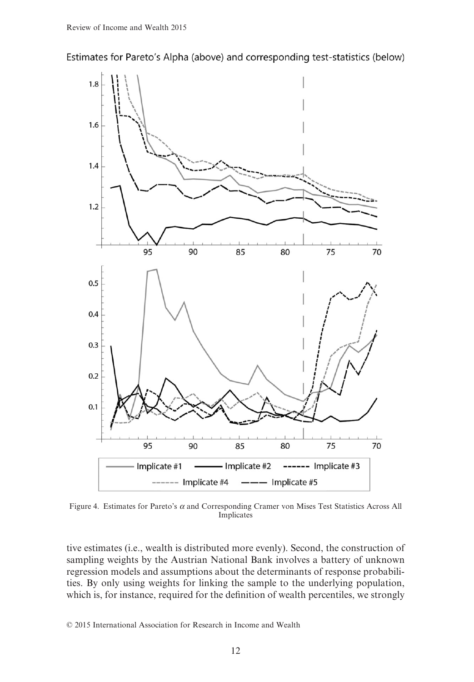Estimates for Pareto's Alpha (above) and corresponding test-statistics (below)



Figure 4. Estimates for Pareto's *α* and Corresponding Cramer von Mises Test Statistics Across All Implicates

tive estimates (i.e., wealth is distributed more evenly). Second, the construction of sampling weights by the Austrian National Bank involves a battery of unknown regression models and assumptions about the determinants of response probabilities. By only using weights for linking the sample to the underlying population, which is, for instance, required for the definition of wealth percentiles, we strongly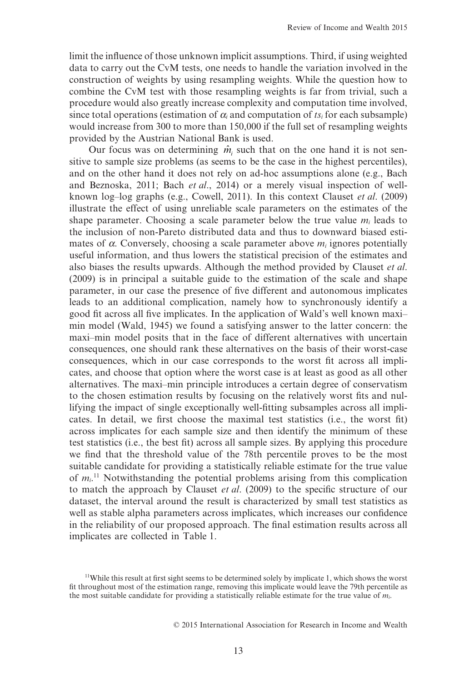limit the influence of those unknown implicit assumptions. Third, if using weighted data to carry out the CvM tests, one needs to handle the variation involved in the construction of weights by using resampling weights. While the question how to combine the CvM test with those resampling weights is far from trivial, such a procedure would also greatly increase complexity and computation time involved, since total operations (estimation of  $\alpha_i$  and computation of  $t s_i$  for each subsample) would increase from 300 to more than 150,000 if the full set of resampling weights provided by the Austrian National Bank is used.

Our focus was on determining  $\hat{m}$  such that on the one hand it is not sensitive to sample size problems (as seems to be the case in the highest percentiles), and on the other hand it does not rely on ad-hoc assumptions alone (e.g., Bach and Beznoska, 2011; Bach *et al*., 2014) or a merely visual inspection of wellknown log–log graphs (e.g., Cowell, 2011). In this context Clauset *et al*. (2009) illustrate the effect of using unreliable scale parameters on the estimates of the shape parameter. Choosing a scale parameter below the true value  $m_i$  leads to the inclusion of non-Pareto distributed data and thus to downward biased estimates of *α*. Conversely, choosing a scale parameter above *mi* ignores potentially useful information, and thus lowers the statistical precision of the estimates and also biases the results upwards. Although the method provided by Clauset *et al*. (2009) is in principal a suitable guide to the estimation of the scale and shape parameter, in our case the presence of five different and autonomous implicates leads to an additional complication, namely how to synchronously identify a good fit across all five implicates. In the application of Wald's well known maxi– min model (Wald, 1945) we found a satisfying answer to the latter concern: the maxi–min model posits that in the face of different alternatives with uncertain consequences, one should rank these alternatives on the basis of their worst-case consequences, which in our case corresponds to the worst fit across all implicates, and choose that option where the worst case is at least as good as all other alternatives. The maxi–min principle introduces a certain degree of conservatism to the chosen estimation results by focusing on the relatively worst fits and nullifying the impact of single exceptionally well-fitting subsamples across all implicates. In detail, we first choose the maximal test statistics (i.e., the worst fit) across implicates for each sample size and then identify the minimum of these test statistics (i.e., the best fit) across all sample sizes. By applying this procedure we find that the threshold value of the 78th percentile proves to be the most suitable candidate for providing a statistically reliable estimate for the true value of  $m_i$ <sup>11</sup> Notwithstanding the potential problems arising from this complication to match the approach by Clauset *et al*. (2009) to the specific structure of our dataset, the interval around the result is characterized by small test statistics as well as stable alpha parameters across implicates, which increases our confidence in the reliability of our proposed approach. The final estimation results across all implicates are collected in Table 1.

<sup>&</sup>lt;sup>11</sup>While this result at first sight seems to be determined solely by implicate 1, which shows the worst fit throughout most of the estimation range, removing this implicate would leave the 79th percentile as the most suitable candidate for providing a statistically reliable estimate for the true value of  $m_i$ .

<sup>© 2015</sup> International Association for Research in Income and Wealth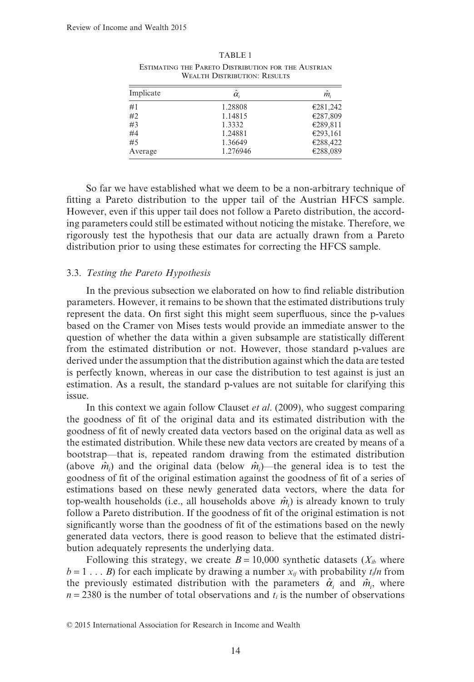| Implicate | $\hat{\alpha}_1$ | m.       |
|-----------|------------------|----------|
| #1        | 1.28808          | €281,242 |
| #2        | 1.14815          | €287,809 |
| #3        | 1.3332           | €289,811 |
| #4        | 1.24881          | €293,161 |
| #5        | 1.36649          | €288,422 |
| Average   | 1.276946         | €288,089 |

TABLE 1 ESTIMATING THE PARETO DISTRIBUTION FOR THE AUSTRIAN WEALTH DISTRIBUTION: RESULTS

So far we have established what we deem to be a non-arbitrary technique of fitting a Pareto distribution to the upper tail of the Austrian HFCS sample. However, even if this upper tail does not follow a Pareto distribution, the according parameters could still be estimated without noticing the mistake. Therefore, we rigorously test the hypothesis that our data are actually drawn from a Pareto distribution prior to using these estimates for correcting the HFCS sample.

#### 3.3. *Testing the Pareto Hypothesis*

In the previous subsection we elaborated on how to find reliable distribution parameters. However, it remains to be shown that the estimated distributions truly represent the data. On first sight this might seem superfluous, since the p-values based on the Cramer von Mises tests would provide an immediate answer to the question of whether the data within a given subsample are statistically different from the estimated distribution or not. However, those standard p-values are derived under the assumption that the distribution against which the data are tested is perfectly known, whereas in our case the distribution to test against is just an estimation. As a result, the standard p-values are not suitable for clarifying this issue.

In this context we again follow Clauset *et al*. (2009), who suggest comparing the goodness of fit of the original data and its estimated distribution with the goodness of fit of newly created data vectors based on the original data as well as the estimated distribution. While these new data vectors are created by means of a bootstrap—that is, repeated random drawing from the estimated distribution (above  $\hat{m}$ <sub>i</sub>) and the original data (below  $\hat{m}$ <sub>i</sub>)—the general idea is to test the goodness of fit of the original estimation against the goodness of fit of a series of estimations based on these newly generated data vectors, where the data for top-wealth households (i.e., all households above  $\hat{m}$ <sub>*i*</sub>) is already known to truly follow a Pareto distribution. If the goodness of fit of the original estimation is not significantly worse than the goodness of fit of the estimations based on the newly generated data vectors, there is good reason to believe that the estimated distribution adequately represents the underlying data.

Following this strategy, we create  $B = 10,000$  synthetic datasets ( $X<sub>ib</sub>$  where  $b = 1...$  *B*) for each implicate by drawing a number  $x_{ij}$  with probability  $t_i/n$  from the previously estimated distribution with the parameters  $\hat{\alpha}_i$  and  $\hat{m}_i$ , where  $n = 2380$  is the number of total observations and  $t_i$  is the number of observations

<sup>© 2015</sup> International Association for Research in Income and Wealth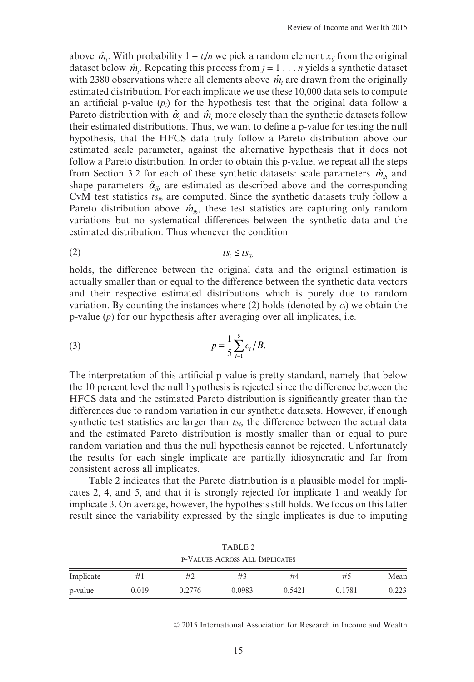above  $\hat{m}_i$ . With probability  $1 - t_i/n$  we pick a random element  $x_{ij}$  from the original dataset below  $\hat{m}_i$ . Repeating this process from  $j = 1 \dots n$  yields a synthetic dataset with 2380 observations where all elements above  $\hat{m}$  are drawn from the originally estimated distribution. For each implicate we use these 10,000 data sets to compute an artificial p-value  $(p_i)$  for the hypothesis test that the original data follow a Pareto distribution with  $\hat{\alpha}$  and  $\hat{m}$  more closely than the synthetic datasets follow their estimated distributions. Thus, we want to define a p-value for testing the null hypothesis, that the HFCS data truly follow a Pareto distribution above our estimated scale parameter, against the alternative hypothesis that it does not follow a Pareto distribution. In order to obtain this p-value, we repeat all the steps from Section 3.2 for each of these synthetic datasets: scale parameters  $\hat{m}_{i}$  and shape parameters  $\hat{\alpha}_{i}$  are estimated as described above and the corresponding CvM test statistics *tsib* are computed. Since the synthetic datasets truly follow a Pareto distribution above  $\hat{m}_{i,b}$ , these test statistics are capturing only random variations but no systematical differences between the synthetic data and the estimated distribution. Thus whenever the condition

$$
(2) \t\t ts_i \leq ts_{ib}
$$

holds, the difference between the original data and the original estimation is actually smaller than or equal to the difference between the synthetic data vectors and their respective estimated distributions which is purely due to random variation. By counting the instances where  $(2)$  holds (denoted by  $c_i$ ) we obtain the p-value (*p*) for our hypothesis after averaging over all implicates, i.e.

(3) 
$$
p = \frac{1}{5} \sum_{i=1}^{5} c_i / B.
$$

The interpretation of this artificial p-value is pretty standard, namely that below the 10 percent level the null hypothesis is rejected since the difference between the HFCS data and the estimated Pareto distribution is significantly greater than the differences due to random variation in our synthetic datasets. However, if enough synthetic test statistics are larger than *tsi*, the difference between the actual data and the estimated Pareto distribution is mostly smaller than or equal to pure random variation and thus the null hypothesis cannot be rejected. Unfortunately the results for each single implicate are partially idiosyncratic and far from consistent across all implicates.

Table 2 indicates that the Pareto distribution is a plausible model for implicates 2, 4, and 5, and that it is strongly rejected for implicate 1 and weakly for implicate 3. On average, however, the hypothesis still holds. We focus on this latter result since the variability expressed by the single implicates is due to imputing

|                                |       |        | TABLE 2 |        |        |       |
|--------------------------------|-------|--------|---------|--------|--------|-------|
| P-VALUES ACROSS ALL IMPLICATES |       |        |         |        |        |       |
| Implicate                      | # I   | #2     | #3      | #4     | #5     | Mean  |
| p-value                        | 0.019 | 0.2776 | 0.0983  | 0.5421 | 0.1781 | 0.223 |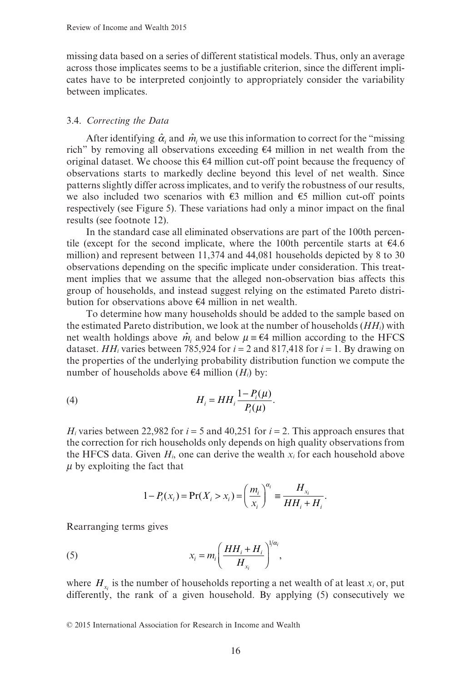missing data based on a series of different statistical models. Thus, only an average across those implicates seems to be a justifiable criterion, since the different implicates have to be interpreted conjointly to appropriately consider the variability between implicates.

# 3.4. *Correcting the Data*

After identifying  $\hat{\alpha}_i$  and  $\hat{m}_i$  we use this information to correct for the "missing" rich" by removing all observations exceeding €4 million in net wealth from the original dataset. We choose this €4 million cut-off point because the frequency of observations starts to markedly decline beyond this level of net wealth. Since patterns slightly differ across implicates, and to verify the robustness of our results, we also included two scenarios with  $\epsilon$ 3 million and  $\epsilon$ 5 million cut-off points respectively (see Figure 5). These variations had only a minor impact on the final results (see footnote 12).

In the standard case all eliminated observations are part of the 100th percentile (except for the second implicate, where the 100th percentile starts at  $\epsilon$ 4.6 million) and represent between 11,374 and 44,081 households depicted by 8 to 30 observations depending on the specific implicate under consideration. This treatment implies that we assume that the alleged non-observation bias affects this group of households, and instead suggest relying on the estimated Pareto distribution for observations above €4 million in net wealth.

To determine how many households should be added to the sample based on the estimated Pareto distribution, we look at the number of households (*HHi*) with net wealth holdings above  $\hat{m}_i$  and below  $\mu = \epsilon 4$  million according to the HFCS dataset. *HH<sub>i</sub>* varies between 785,924 for  $i = 2$  and 817,418 for  $i = 1$ . By drawing on the properties of the underlying probability distribution function we compute the number of households above  $\epsilon$ 4 million (*H<sub>i</sub>*) by:

$$
(4) \hspace{1cm} H_i = HH_i \frac{1 - P_i(\mu)}{P_i(\mu)}.
$$

*H<sub>i</sub>* varies between 22,982 for  $i = 5$  and 40,251 for  $i = 2$ . This approach ensures that the correction for rich households only depends on high quality observations from the HFCS data. Given  $H_i$ , one can derive the wealth  $x_i$  for each household above *μ* by exploiting the fact that

$$
1 - P_i(x_i) = \Pr(X_i > x_i) = \left(\frac{m_i}{x_i}\right)^{\alpha_i} \equiv \frac{H_{x_i}}{HH_i + H_i}.
$$

Rearranging terms gives

(5) 
$$
x_i = m_i \left( \frac{HH_i + H_i}{H_{x_i}} \right)^{1/\alpha_i},
$$

where  $H<sub>x</sub>$  is the number of households reporting a net wealth of at least  $x<sub>i</sub>$  or, put differently, the rank of a given household. By applying (5) consecutively we

<sup>© 2015</sup> International Association for Research in Income and Wealth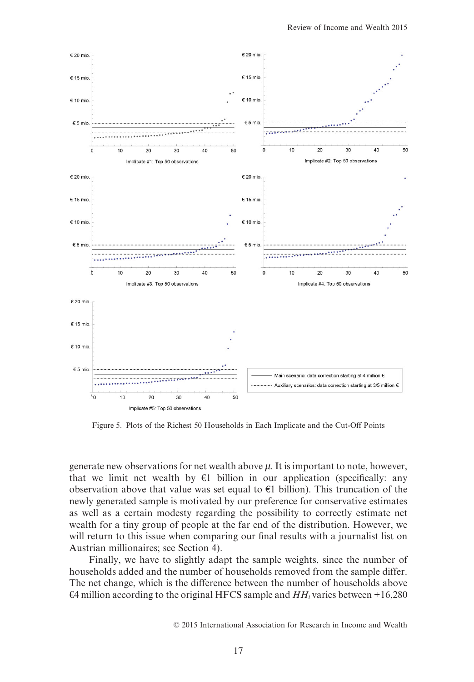

Figure 5. Plots of the Richest 50 Households in Each Implicate and the Cut-Off Points

generate new observations for net wealth above *μ*. It is important to note, however, that we limit net wealth by  $\epsilon$ 1 billion in our application (specifically: any observation above that value was set equal to  $€1$  billion). This truncation of the newly generated sample is motivated by our preference for conservative estimates as well as a certain modesty regarding the possibility to correctly estimate net wealth for a tiny group of people at the far end of the distribution. However, we will return to this issue when comparing our final results with a journalist list on Austrian millionaires; see Section 4).

Finally, we have to slightly adapt the sample weights, since the number of households added and the number of households removed from the sample differ. The net change, which is the difference between the number of households above  $\epsilon$ 4 million according to the original HFCS sample and *HH<sub>i</sub>* varies between +16,280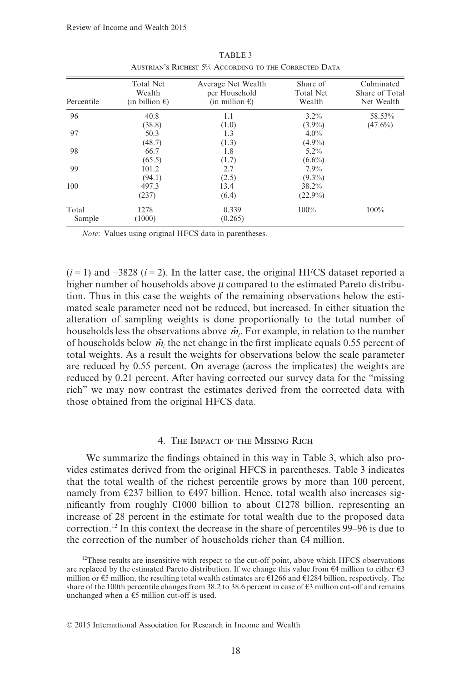| Percentile      | <b>Total Net</b><br>Wealth<br>(in billion $\epsilon$ ) | Average Net Wealth<br>per Household<br>(in million $\epsilon$ ) | Share of<br><b>Total Net</b><br>Wealth | Culminated<br>Share of Total<br>Net Wealth |
|-----------------|--------------------------------------------------------|-----------------------------------------------------------------|----------------------------------------|--------------------------------------------|
| 96              | 40.8<br>(38.8)                                         | 1.1<br>(1.0)                                                    | $3.2\%$<br>$(3.9\%)$                   | 58.53%<br>$(47.6\%)$                       |
| 97              | 50.3<br>(48.7)                                         | 1.3<br>(1.3)                                                    | $4.0\%$<br>$(4.9\%)$                   |                                            |
| 98              | 66.7<br>(65.5)                                         | 1.8<br>(1.7)                                                    | $5.2\%$<br>$(6.6\%)$                   |                                            |
| 99              | 101.2<br>(94.1)                                        | 2.7<br>(2.5)                                                    | $7.9\%$<br>$(9.3\%)$                   |                                            |
| 100             | 497.3<br>(237)                                         | 13.4<br>(6.4)                                                   | 38.2%<br>$(22.9\%)$                    |                                            |
| Total<br>Sample | 1278<br>(1000)                                         | 0.339<br>(0.265)                                                | $100\%$                                | 100%                                       |

TABLE 3 AUSTRIAN'S RICHEST 5% ACCORDING TO THE CORRECTED DATA

*Note*: Values using original HFCS data in parentheses.

 $(i=1)$  and  $-3828$   $(i=2)$ . In the latter case, the original HFCS dataset reported a higher number of households above *μ* compared to the estimated Pareto distribution. Thus in this case the weights of the remaining observations below the estimated scale parameter need not be reduced, but increased. In either situation the alteration of sampling weights is done proportionally to the total number of households less the observations above  $\hat{m}_i$ . For example, in relation to the number of households below  $\hat{m}$ <sub>i</sub> the net change in the first implicate equals 0.55 percent of total weights. As a result the weights for observations below the scale parameter are reduced by 0.55 percent. On average (across the implicates) the weights are reduced by 0.21 percent. After having corrected our survey data for the "missing rich" we may now contrast the estimates derived from the corrected data with those obtained from the original HFCS data.

## 4. THE IMPACT OF THE MISSING RICH

We summarize the findings obtained in this way in Table 3, which also provides estimates derived from the original HFCS in parentheses. Table 3 indicates that the total wealth of the richest percentile grows by more than 100 percent, namely from  $\epsilon$ 237 billion to  $\epsilon$ 497 billion. Hence, total wealth also increases significantly from roughly €1000 billion to about €1278 billion, representing an increase of 28 percent in the estimate for total wealth due to the proposed data correction.12 In this context the decrease in the share of percentiles 99–96 is due to the correction of the number of households richer than  $\epsilon$ 4 million.

 $12$ These results are insensitive with respect to the cut-off point, above which HFCS observations are replaced by the estimated Pareto distribution. If we change this value from  $\epsilon 4$  million to either  $\epsilon 3$ million or €5 million, the resulting total wealth estimates are €1266 and €1284 billion, respectively. The share of the 100th percentile changes from 38.2 to 38.6 percent in case of €3 million cut-off and remains unchanged when  $\hat{a} \in S$  million cut-off is used.

<sup>© 2015</sup> International Association for Research in Income and Wealth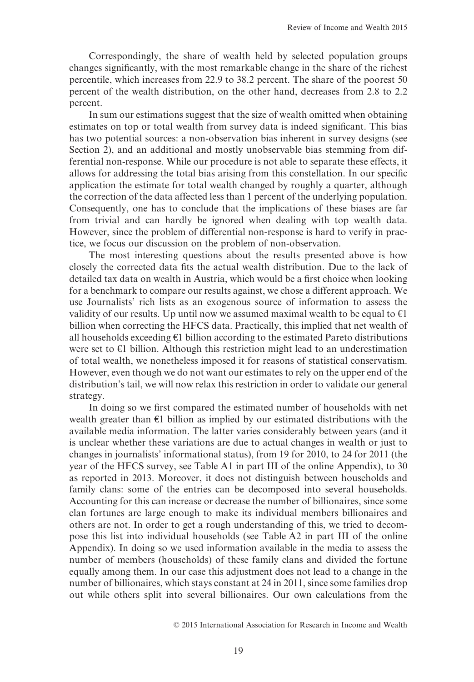Correspondingly, the share of wealth held by selected population groups changes significantly, with the most remarkable change in the share of the richest percentile, which increases from 22.9 to 38.2 percent. The share of the poorest 50 percent of the wealth distribution, on the other hand, decreases from 2.8 to 2.2 percent.

In sum our estimations suggest that the size of wealth omitted when obtaining estimates on top or total wealth from survey data is indeed significant. This bias has two potential sources: a non-observation bias inherent in survey designs (see Section 2), and an additional and mostly unobservable bias stemming from differential non-response. While our procedure is not able to separate these effects, it allows for addressing the total bias arising from this constellation. In our specific application the estimate for total wealth changed by roughly a quarter, although the correction of the data affected less than 1 percent of the underlying population. Consequently, one has to conclude that the implications of these biases are far from trivial and can hardly be ignored when dealing with top wealth data. However, since the problem of differential non-response is hard to verify in practice, we focus our discussion on the problem of non-observation.

The most interesting questions about the results presented above is how closely the corrected data fits the actual wealth distribution. Due to the lack of detailed tax data on wealth in Austria, which would be a first choice when looking for a benchmark to compare our results against, we chose a different approach. We use Journalists' rich lists as an exogenous source of information to assess the validity of our results. Up until now we assumed maximal wealth to be equal to  $\epsilon_1$ billion when correcting the HFCS data. Practically, this implied that net wealth of all households exceeding  $\epsilon_1$  billion according to the estimated Pareto distributions were set to €1 billion. Although this restriction might lead to an underestimation of total wealth, we nonetheless imposed it for reasons of statistical conservatism. However, even though we do not want our estimates to rely on the upper end of the distribution's tail, we will now relax this restriction in order to validate our general strategy.

In doing so we first compared the estimated number of households with net wealth greater than €1 billion as implied by our estimated distributions with the available media information. The latter varies considerably between years (and it is unclear whether these variations are due to actual changes in wealth or just to changes in journalists' informational status), from 19 for 2010, to 24 for 2011 (the year of the HFCS survey, see Table A1 in part III of the online Appendix), to 30 as reported in 2013. Moreover, it does not distinguish between households and family clans: some of the entries can be decomposed into several households. Accounting for this can increase or decrease the number of billionaires, since some clan fortunes are large enough to make its individual members billionaires and others are not. In order to get a rough understanding of this, we tried to decompose this list into individual households (see Table A2 in part III of the online Appendix). In doing so we used information available in the media to assess the number of members (households) of these family clans and divided the fortune equally among them. In our case this adjustment does not lead to a change in the number of billionaires, which stays constant at 24 in 2011, since some families drop out while others split into several billionaires. Our own calculations from the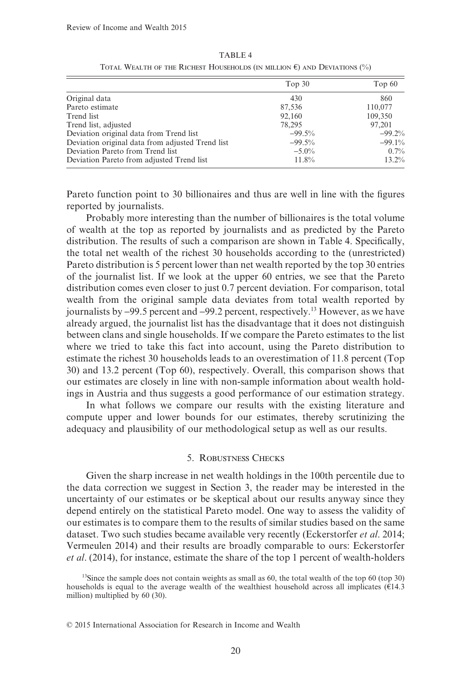|                                                  | Top 30   | Top $60$ |
|--------------------------------------------------|----------|----------|
| Original data                                    | 430      | 860      |
| Pareto estimate                                  | 87,536   | 110,077  |
| Trend list                                       | 92,160   | 109,350  |
| Trend list, adjusted                             | 78.295   | 97.201   |
| Deviation original data from Trend list          | $-99.5%$ | $-99.2%$ |
| Deviation original data from adjusted Trend list | $-99.5%$ | $-99.1%$ |
| Deviation Pareto from Trend list                 | $-5.0\%$ | 0.7%     |
| Deviation Pareto from adjusted Trend list        | 11.8%    | 13.2%    |

TABLE 4 TOTAL WEALTH OF THE RICHEST HOUSEHOLDS (IN MILLION  $\epsilon$ ) and Deviations (%)

Pareto function point to 30 billionaires and thus are well in line with the figures reported by journalists.

Probably more interesting than the number of billionaires is the total volume of wealth at the top as reported by journalists and as predicted by the Pareto distribution. The results of such a comparison are shown in Table 4. Specifically, the total net wealth of the richest 30 households according to the (unrestricted) Pareto distribution is 5 percent lower than net wealth reported by the top 30 entries of the journalist list. If we look at the upper 60 entries, we see that the Pareto distribution comes even closer to just 0.7 percent deviation. For comparison, total wealth from the original sample data deviates from total wealth reported by journalists by −99.5 percent and −99.2 percent, respectively.13 However, as we have already argued, the journalist list has the disadvantage that it does not distinguish between clans and single households. If we compare the Pareto estimates to the list where we tried to take this fact into account, using the Pareto distribution to estimate the richest 30 households leads to an overestimation of 11.8 percent (Top 30) and 13.2 percent (Top 60), respectively. Overall, this comparison shows that our estimates are closely in line with non-sample information about wealth holdings in Austria and thus suggests a good performance of our estimation strategy.

In what follows we compare our results with the existing literature and compute upper and lower bounds for our estimates, thereby scrutinizing the adequacy and plausibility of our methodological setup as well as our results.

## 5. ROBUSTNESS CHECKS

Given the sharp increase in net wealth holdings in the 100th percentile due to the data correction we suggest in Section 3, the reader may be interested in the uncertainty of our estimates or be skeptical about our results anyway since they depend entirely on the statistical Pareto model. One way to assess the validity of our estimates is to compare them to the results of similar studies based on the same dataset. Two such studies became available very recently (Eckerstorfer *et al*. 2014; Vermeulen 2014) and their results are broadly comparable to ours: Eckerstorfer *et al*. (2014), for instance, estimate the share of the top 1 percent of wealth-holders

<sup>&</sup>lt;sup>13</sup>Since the sample does not contain weights as small as 60, the total wealth of the top 60 (top 30) households is equal to the average wealth of the wealthiest household across all implicates ( $\hat{\epsilon}$ 14.3) million) multiplied by 60 (30).

<sup>© 2015</sup> International Association for Research in Income and Wealth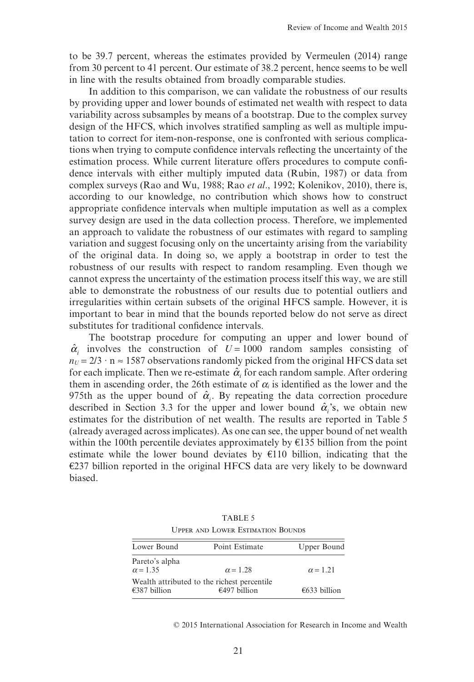to be 39.7 percent, whereas the estimates provided by Vermeulen (2014) range from 30 percent to 41 percent. Our estimate of 38.2 percent, hence seems to be well in line with the results obtained from broadly comparable studies.

In addition to this comparison, we can validate the robustness of our results by providing upper and lower bounds of estimated net wealth with respect to data variability across subsamples by means of a bootstrap. Due to the complex survey design of the HFCS, which involves stratified sampling as well as multiple imputation to correct for item-non-response, one is confronted with serious complications when trying to compute confidence intervals reflecting the uncertainty of the estimation process. While current literature offers procedures to compute confidence intervals with either multiply imputed data (Rubin, 1987) or data from complex surveys (Rao and Wu, 1988; Rao *et al*., 1992; Kolenikov, 2010), there is, according to our knowledge, no contribution which shows how to construct appropriate confidence intervals when multiple imputation as well as a complex survey design are used in the data collection process. Therefore, we implemented an approach to validate the robustness of our estimates with regard to sampling variation and suggest focusing only on the uncertainty arising from the variability of the original data. In doing so, we apply a bootstrap in order to test the robustness of our results with respect to random resampling. Even though we cannot express the uncertainty of the estimation process itself this way, we are still able to demonstrate the robustness of our results due to potential outliers and irregularities within certain subsets of the original HFCS sample. However, it is important to bear in mind that the bounds reported below do not serve as direct substitutes for traditional confidence intervals.

The bootstrap procedure for computing an upper and lower bound of  $\hat{\alpha}$ <sub>i</sub> involves the construction of  $U = 1000$  random samples consisting of  $n_U = 2/3 \cdot n \approx 1587$  observations randomly picked from the original HFCS data set for each implicate. Then we re-estimate  $\hat{\alpha}$  for each random sample. After ordering them in ascending order, the 26th estimate of  $\alpha_i$  is identified as the lower and the 975th as the upper bound of  $\hat{\alpha}_i$ . By repeating the data correction procedure described in Section 3.3 for the upper and lower bound  $\hat{\alpha}$ 's, we obtain new estimates for the distribution of net wealth. The results are reported in Table 5 (already averaged across implicates). As one can see, the upper bound of net wealth within the 100th percentile deviates approximately by  $E$ 135 billion from the point estimate while the lower bound deviates by  $E110$  billion, indicating that the €237 billion reported in the original HFCS data are very likely to be downward biased.

| <u>UITER ARD LONER LOHMANOR DOUDO</u> |                                                               |                 |  |
|---------------------------------------|---------------------------------------------------------------|-----------------|--|
| Lower Bound                           | Point Estimate                                                | Upper Bound     |  |
| Pareto's alpha<br>$\alpha$ = 1.35     | $\alpha$ = 1.28                                               | $\alpha$ = 1.21 |  |
| €387 billion                          | Wealth attributed to the richest percentile<br>$€497$ billion | €633 billion    |  |

TABLE 5 UPPER AND LOWER ESTIMATION BOUNDS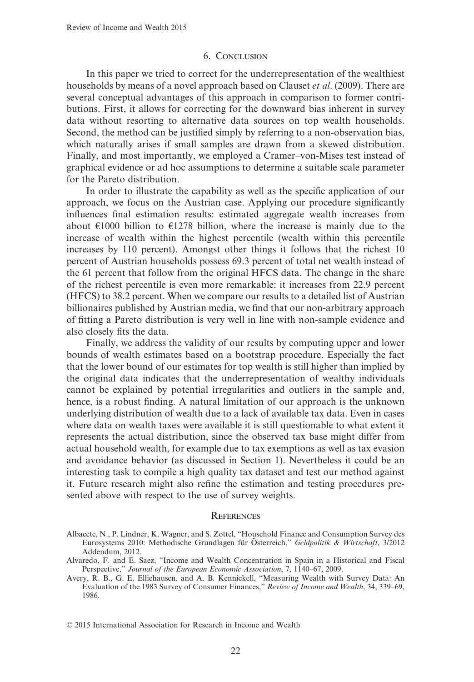#### 6. CONCLUSION

In this paper we tried to correct for the underrepresentation of the wealthiest households by means of a novel approach based on Clauset *et al*. (2009). There are several conceptual advantages of this approach in comparison to former contributions. First, it allows for correcting for the downward bias inherent in survey data without resorting to alternative data sources on top wealth households. Second, the method can be justified simply by referring to a non-observation bias, which naturally arises if small samples are drawn from a skewed distribution. Finally, and most importantly, we employed a Cramer–von-Mises test instead of graphical evidence or ad hoc assumptions to determine a suitable scale parameter for the Pareto distribution.

In order to illustrate the capability as well as the specific application of our approach, we focus on the Austrian case. Applying our procedure significantly influences final estimation results: estimated aggregate wealth increases from about €1000 billion to €1278 billion, where the increase is mainly due to the increase of wealth within the highest percentile (wealth within this percentile increases by 110 percent). Amongst other things it follows that the richest 10 percent of Austrian households possess 69.3 percent of total net wealth instead of the 61 percent that follow from the original HFCS data. The change in the share of the richest percentile is even more remarkable: it increases from 22.9 percent (HFCS) to 38.2 percent. When we compare our results to a detailed list of Austrian billionaires published by Austrian media, we find that our non-arbitrary approach of fitting a Pareto distribution is very well in line with non-sample evidence and also closely fits the data.

Finally, we address the validity of our results by computing upper and lower bounds of wealth estimates based on a bootstrap procedure. Especially the fact that the lower bound of our estimates for top wealth is still higher than implied by the original data indicates that the underrepresentation of wealthy individuals cannot be explained by potential irregularities and outliers in the sample and, hence, is a robust finding. A natural limitation of our approach is the unknown underlying distribution of wealth due to a lack of available tax data. Even in cases where data on wealth taxes were available it is still questionable to what extent it represents the actual distribution, since the observed tax base might differ from actual household wealth, for example due to tax exemptions as well as tax evasion and avoidance behavior (as discussed in Section 1). Nevertheless it could be an interesting task to compile a high quality tax dataset and test our method against it. Future research might also refine the estimation and testing procedures presented above with respect to the use of survey weights.

#### **REFERENCES**

Albacete, N., P. Lindner, K. Wagner, and S. Zottel, "Household Finance and Consumption Survey des Eurosystems 2010: Methodische Grundlagen für Österreich," *Geldpolitik & Wirtschaft*, 3/2012 Addendum, 2012.

Alvaredo, F. and E. Saez, "Income and Wealth Concentration in Spain in a Historical and Fiscal Perspective," *Journal of the European Economic Association*, 7, 1140–67, 2009.

Avery, R. B., G. E. Elliehausen, and A. B. Kennickell, "Measuring Wealth with Survey Data: An Evaluation of the 1983 Survey of Consumer Finances," *Review of Income and Wealth*, 34, 339–69, 1986.